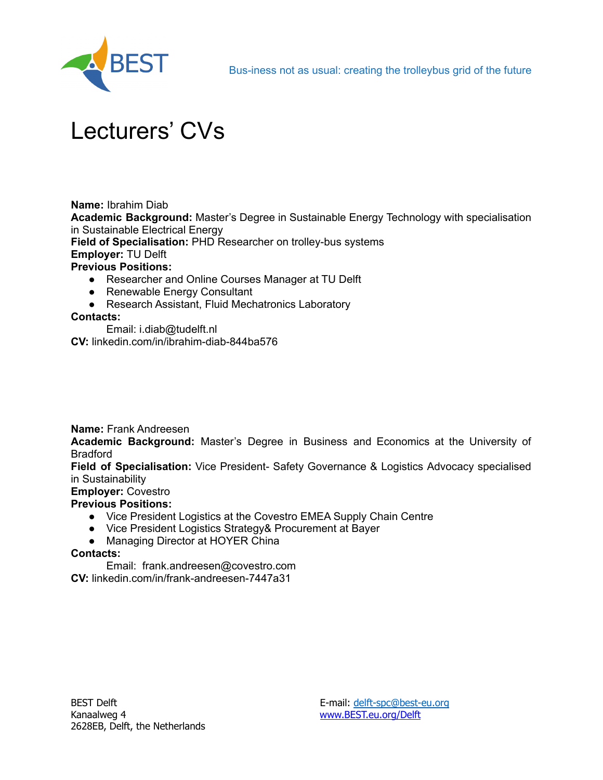

# Lecturers' CVs

**Name:** Ibrahim Diab

**Academic Background:** Master's Degree in Sustainable Energy Technology with specialisation in Sustainable Electrical Energy

**Field of Specialisation:** PHD Researcher on trolley-bus systems

## **Employer:** TU Delft

### **Previous Positions:**

- Researcher and Online Courses Manager at TU Delft
- Renewable Energy Consultant
- Research Assistant, Fluid Mechatronics Laboratory

### **Contacts:**

Email: i.diab@tudelft.nl

**CV:** linkedin.com/in/ibrahim-diab-844ba576

**Name:** Frank Andreesen

**Academic Background:** Master's Degree in Business and Economics at the University of Bradford

**Field of Specialisation:** Vice President- Safety Governance & Logistics Advocacy specialised in Sustainability

### **Employer:** Covestro

## **Previous Positions:**

- Vice President Logistics at the Covestro EMEA Supply Chain Centre
- Vice President Logistics Strategy& Procurement at Bayer
- Managing Director at HOYER China

#### **Contacts:**

Email: frank.andreesen@covestro.com

**CV:** linkedin.com/in/frank-andreesen-7447a31